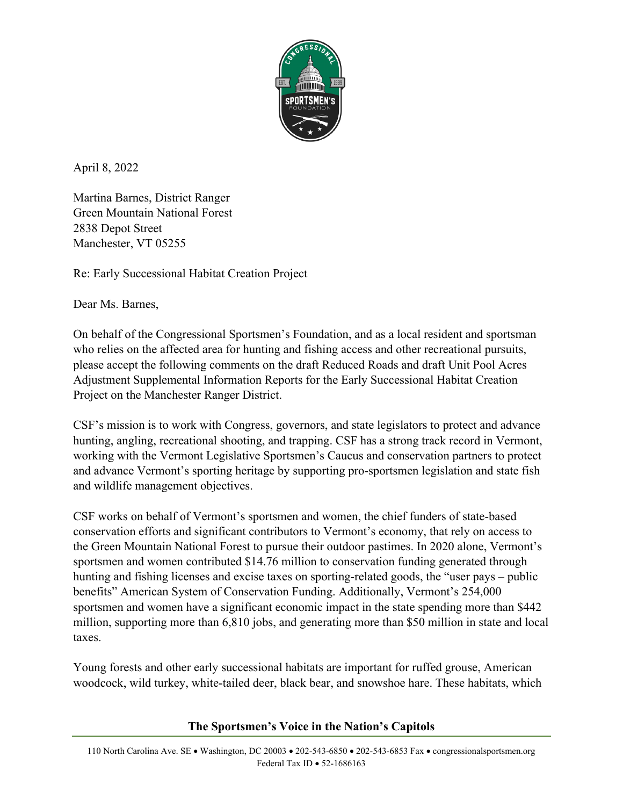

April 8, 2022

Martina Barnes, District Ranger Green Mountain National Forest 2838 Depot Street Manchester, VT 05255

Re: Early Successional Habitat Creation Project

Dear Ms. Barnes,

On behalf of the Congressional Sportsmen's Foundation, and as a local resident and sportsman who relies on the affected area for hunting and fishing access and other recreational pursuits, please accept the following comments on the draft Reduced Roads and draft Unit Pool Acres Adjustment Supplemental Information Reports for the Early Successional Habitat Creation Project on the Manchester Ranger District.

CSF's mission is to work with Congress, governors, and state legislators to protect and advance hunting, angling, recreational shooting, and trapping. CSF has a strong track record in Vermont, working with the Vermont Legislative Sportsmen's Caucus and conservation partners to protect and advance Vermont's sporting heritage by supporting pro-sportsmen legislation and state fish and wildlife management objectives.

CSF works on behalf of Vermont's sportsmen and women, the chief funders of state-based conservation efforts and significant contributors to Vermont's economy, that rely on access to the Green Mountain National Forest to pursue their outdoor pastimes. In 2020 alone, Vermont's sportsmen and women contributed \$14.76 million to conservation funding generated through hunting and fishing licenses and excise taxes on sporting-related goods, the "user pays – public benefits" American System of Conservation Funding. Additionally, Vermont's 254,000 sportsmen and women have a significant economic impact in the state spending more than \$442 million, supporting more than 6,810 jobs, and generating more than \$50 million in state and local taxes.

Young forests and other early successional habitats are important for ruffed grouse, American woodcock, wild turkey, white-tailed deer, black bear, and snowshoe hare. These habitats, which

## **The Sportsmen's Voice in the Nation's Capitols**